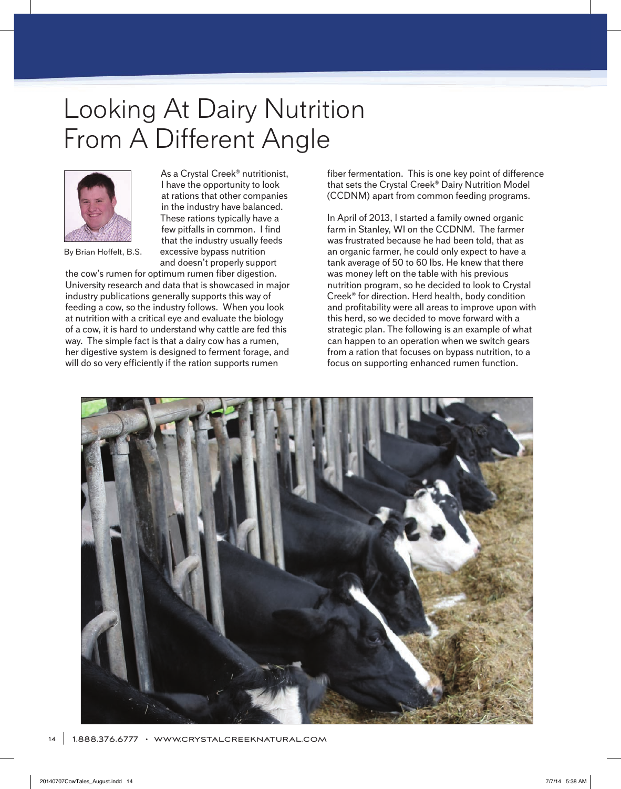## Looking At Dairy Nutrition From A Different Angle



By Brian Hoffelt, B.S.

As a Crystal Creek® nutritionist, I have the opportunity to look at rations that other companies in the industry have balanced. These rations typically have a few pitfalls in common. I find that the industry usually feeds excessive bypass nutrition and doesn't properly support

the cow's rumen for optimum rumen fiber digestion. University research and data that is showcased in major industry publications generally supports this way of feeding a cow, so the industry follows. When you look at nutrition with a critical eye and evaluate the biology of a cow, it is hard to understand why cattle are fed this way. The simple fact is that a dairy cow has a rumen, her digestive system is designed to ferment forage, and will do so very efficiently if the ration supports rumen

fiber fermentation. This is one key point of difference that sets the Crystal Creek® Dairy Nutrition Model (CCDNM) apart from common feeding programs.

In April of 2013, I started a family owned organic farm in Stanley, WI on the CCDNM. The farmer was frustrated because he had been told, that as an organic farmer, he could only expect to have a tank average of 50 to 60 lbs. He knew that there was money left on the table with his previous nutrition program, so he decided to look to Crystal Creek® for direction. Herd health, body condition and profitability were all areas to improve upon with this herd, so we decided to move forward with a strategic plan. The following is an example of what can happen to an operation when we switch gears from a ration that focuses on bypass nutrition, to a focus on supporting enhanced rumen function.